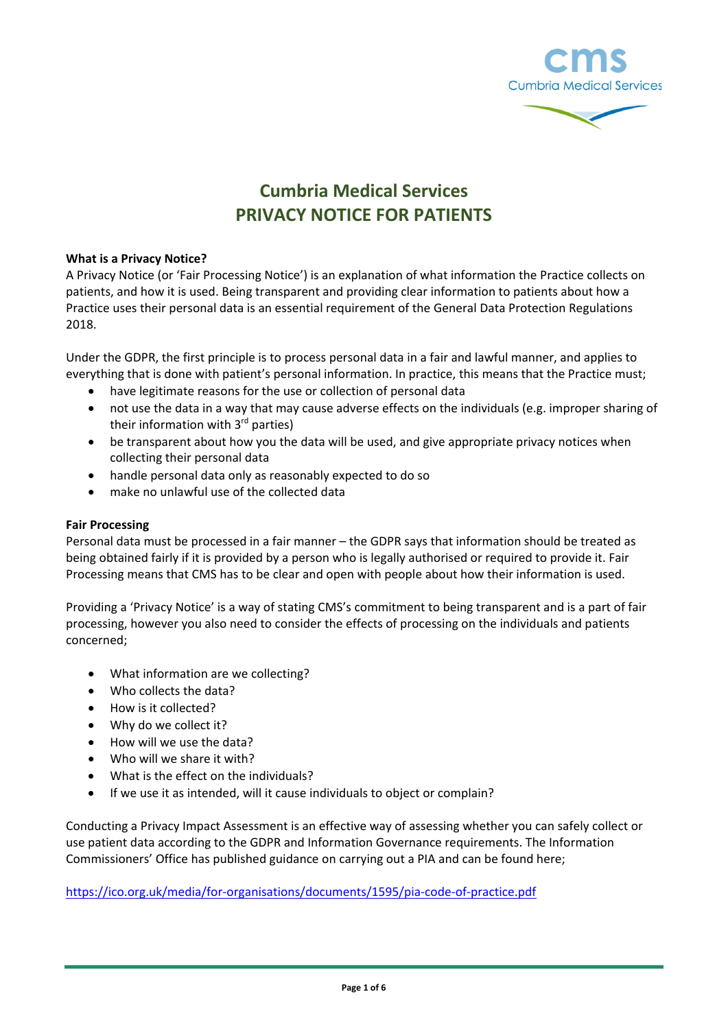



# **Cumbria Medical Services PRIVACY NOTICE FOR PATIENTS**

## **What is a Privacy Notice?**

A Privacy Notice (or 'Fair Processing Notice') is an explanation of what information the Practice collects on patients, and how it is used. Being transparent and providing clear information to patients about how a Practice uses their personal data is an essential requirement of the General Data Protection Regulations 2018.

Under the GDPR, the first principle is to process personal data in a fair and lawful manner, and applies to everything that is done with patient's personal information. In practice, this means that the Practice must;

- have legitimate reasons for the use or collection of personal data
- not use the data in a way that may cause adverse effects on the individuals (e.g. improper sharing of their information with 3<sup>rd</sup> parties)
- be transparent about how you the data will be used, and give appropriate privacy notices when collecting their personal data
- handle personal data only as reasonably expected to do so
- make no unlawful use of the collected data

## **Fair Processing**

Personal data must be processed in a fair manner – the GDPR says that information should be treated as being obtained fairly if it is provided by a person who is legally authorised or required to provide it. Fair Processing means that CMS has to be clear and open with people about how their information is used.

Providing a 'Privacy Notice' is a way of stating CMS's commitment to being transparent and is a part of fair processing, however you also need to consider the effects of processing on the individuals and patients concerned;

- What information are we collecting?
- Who collects the data?
- How is it collected?
- Why do we collect it?
- How will we use the data?
- Who will we share it with?
- What is the effect on the individuals?
- If we use it as intended, will it cause individuals to object or complain?

Conducting a Privacy Impact Assessment is an effective way of assessing whether you can safely collect or use patient data according to the GDPR and Information Governance requirements. The Information Commissioners' Office has published guidance on carrying out a PIA and can be found here;

<https://ico.org.uk/media/for-organisations/documents/1595/pia-code-of-practice.pdf>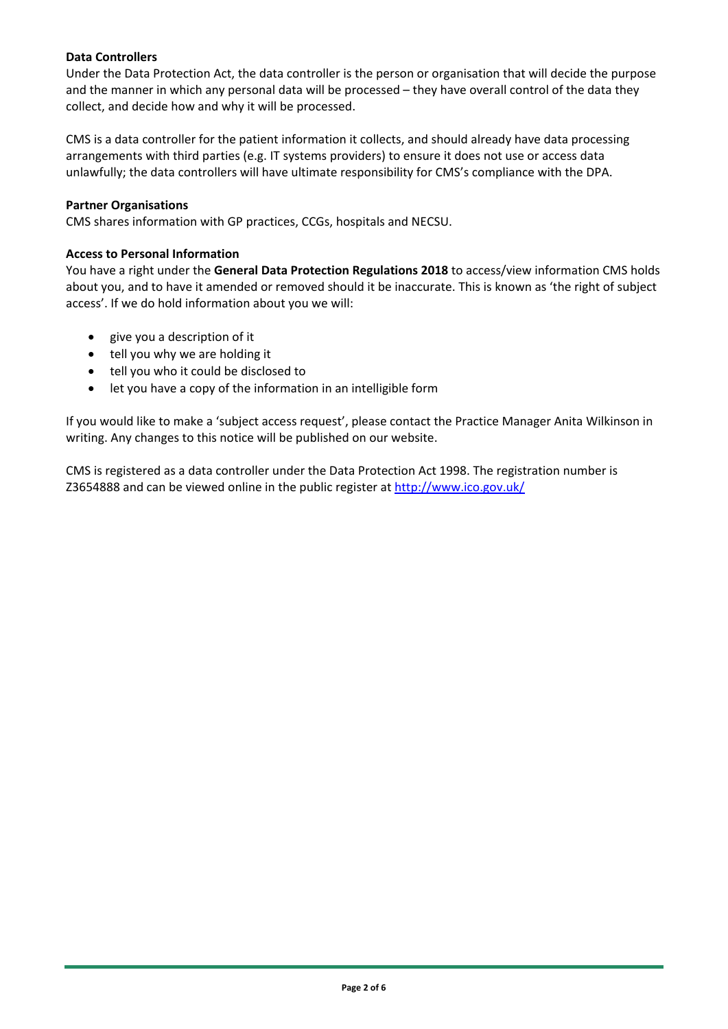# **Data Controllers**

Under the Data Protection Act, the data controller is the person or organisation that will decide the purpose and the manner in which any personal data will be processed – they have overall control of the data they collect, and decide how and why it will be processed.

CMS is a data controller for the patient information it collects, and should already have data processing arrangements with third parties (e.g. IT systems providers) to ensure it does not use or access data unlawfully; the data controllers will have ultimate responsibility for CMS's compliance with the DPA.

# **Partner Organisations**

CMS shares information with GP practices, CCGs, hospitals and NECSU.

# **Access to Personal Information**

You have a right under the **General Data Protection Regulations 2018** to access/view information CMS holds about you, and to have it amended or removed should it be inaccurate. This is known as 'the right of subject access'. If we do hold information about you we will:

- give you a description of it
- tell you why we are holding it
- tell you who it could be disclosed to
- let you have a copy of the information in an intelligible form

If you would like to make a 'subject access request', please contact the Practice Manager Anita Wilkinson in writing. Any changes to this notice will be published on our website.

CMS is registered as a data controller under the Data Protection Act 1998. The registration number is Z3654888 and can be viewed online in the public register at<http://www.ico.gov.uk/>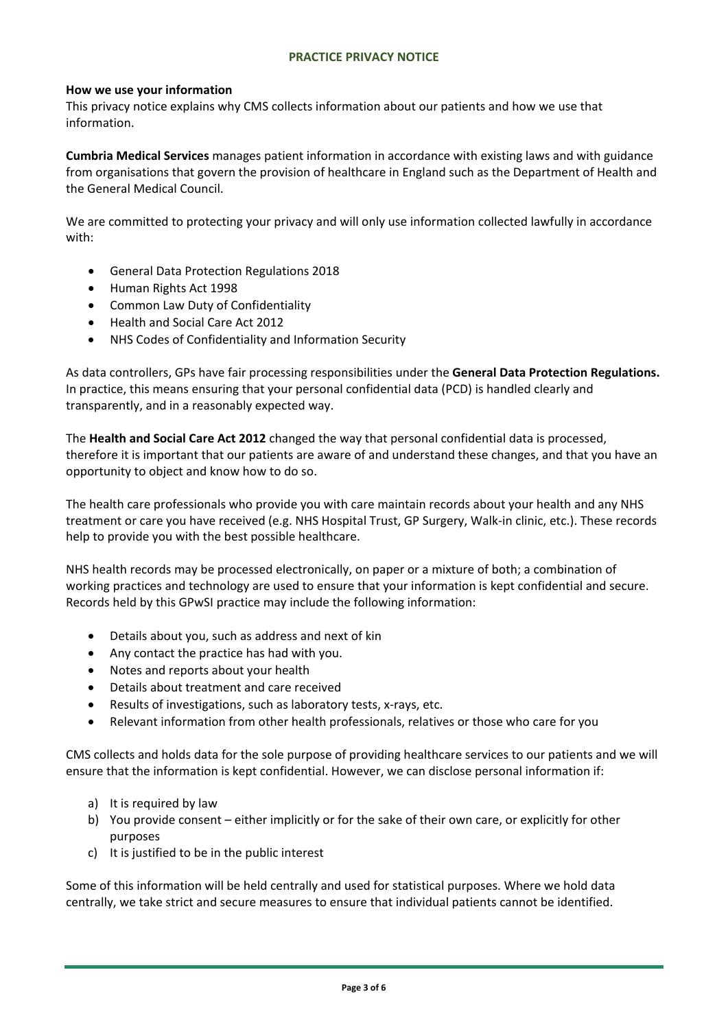# **PRACTICE PRIVACY NOTICE**

## **How we use your information**

This privacy notice explains why CMS collects information about our patients and how we use that information.

**Cumbria Medical Services** manages patient information in accordance with existing laws and with guidance from organisations that govern the provision of healthcare in England such as the Department of Health and the General Medical Council.

We are committed to protecting your privacy and will only use information collected lawfully in accordance with:

- General Data Protection Regulations 2018
- Human Rights Act 1998
- Common Law Duty of Confidentiality
- Health and Social Care Act 2012
- NHS Codes of Confidentiality and Information Security

As data controllers, GPs have fair processing responsibilities under the **General Data Protection Regulations.**  In practice, this means ensuring that your personal confidential data (PCD) is handled clearly and transparently, and in a reasonably expected way.

The **Health and Social Care Act 2012** changed the way that personal confidential data is processed, therefore it is important that our patients are aware of and understand these changes, and that you have an opportunity to object and know how to do so.

The health care professionals who provide you with care maintain records about your health and any NHS treatment or care you have received (e.g. NHS Hospital Trust, GP Surgery, Walk-in clinic, etc.). These records help to provide you with the best possible healthcare.

NHS health records may be processed electronically, on paper or a mixture of both; a combination of working practices and technology are used to ensure that your information is kept confidential and secure. Records held by this GPwSI practice may include the following information:

- Details about you, such as address and next of kin
- Any contact the practice has had with you.
- Notes and reports about your health
- Details about treatment and care received
- Results of investigations, such as laboratory tests, x-rays, etc.
- Relevant information from other health professionals, relatives or those who care for you

CMS collects and holds data for the sole purpose of providing healthcare services to our patients and we will ensure that the information is kept confidential. However, we can disclose personal information if:

- a) It is required by law
- b) You provide consent either implicitly or for the sake of their own care, or explicitly for other purposes
- c) It is justified to be in the public interest

Some of this information will be held centrally and used for statistical purposes. Where we hold data centrally, we take strict and secure measures to ensure that individual patients cannot be identified.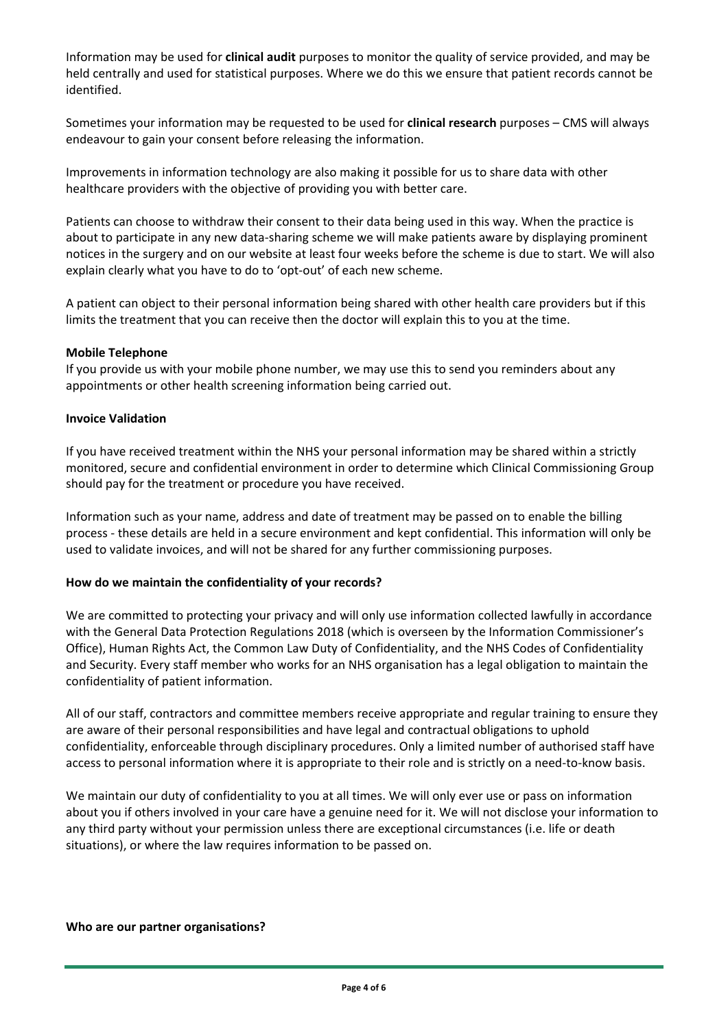Information may be used for **clinical audit** purposes to monitor the quality of service provided, and may be held centrally and used for statistical purposes. Where we do this we ensure that patient records cannot be identified.

Sometimes your information may be requested to be used for **clinical research** purposes – CMS will always endeavour to gain your consent before releasing the information.

Improvements in information technology are also making it possible for us to share data with other healthcare providers with the objective of providing you with better care.

Patients can choose to withdraw their consent to their data being used in this way. When the practice is about to participate in any new data-sharing scheme we will make patients aware by displaying prominent notices in the surgery and on our website at least four weeks before the scheme is due to start. We will also explain clearly what you have to do to 'opt-out' of each new scheme.

A patient can object to their personal information being shared with other health care providers but if this limits the treatment that you can receive then the doctor will explain this to you at the time.

## **Mobile Telephone**

If you provide us with your mobile phone number, we may use this to send you reminders about any appointments or other health screening information being carried out.

## **Invoice Validation**

If you have received treatment within the NHS your personal information may be shared within a strictly monitored, secure and confidential environment in order to determine which Clinical Commissioning Group should pay for the treatment or procedure you have received.

Information such as your name, address and date of treatment may be passed on to enable the billing process - these details are held in a secure environment and kept confidential. This information will only be used to validate invoices, and will not be shared for any further commissioning purposes.

### **How do we maintain the confidentiality of your records?**

We are committed to protecting your privacy and will only use information collected lawfully in accordance with the General Data Protection Regulations 2018 (which is overseen by the Information Commissioner's Office), Human Rights Act, the Common Law Duty of Confidentiality, and the NHS Codes of Confidentiality and Security. Every staff member who works for an NHS organisation has a legal obligation to maintain the confidentiality of patient information.

All of our staff, contractors and committee members receive appropriate and regular training to ensure they are aware of their personal responsibilities and have legal and contractual obligations to uphold confidentiality, enforceable through disciplinary procedures. Only a limited number of authorised staff have access to personal information where it is appropriate to their role and is strictly on a need-to-know basis.

We maintain our duty of confidentiality to you at all times. We will only ever use or pass on information about you if others involved in your care have a genuine need for it. We will not disclose your information to any third party without your permission unless there are exceptional circumstances (i.e. life or death situations), or where the law requires information to be passed on.

### **Who are our partner organisations?**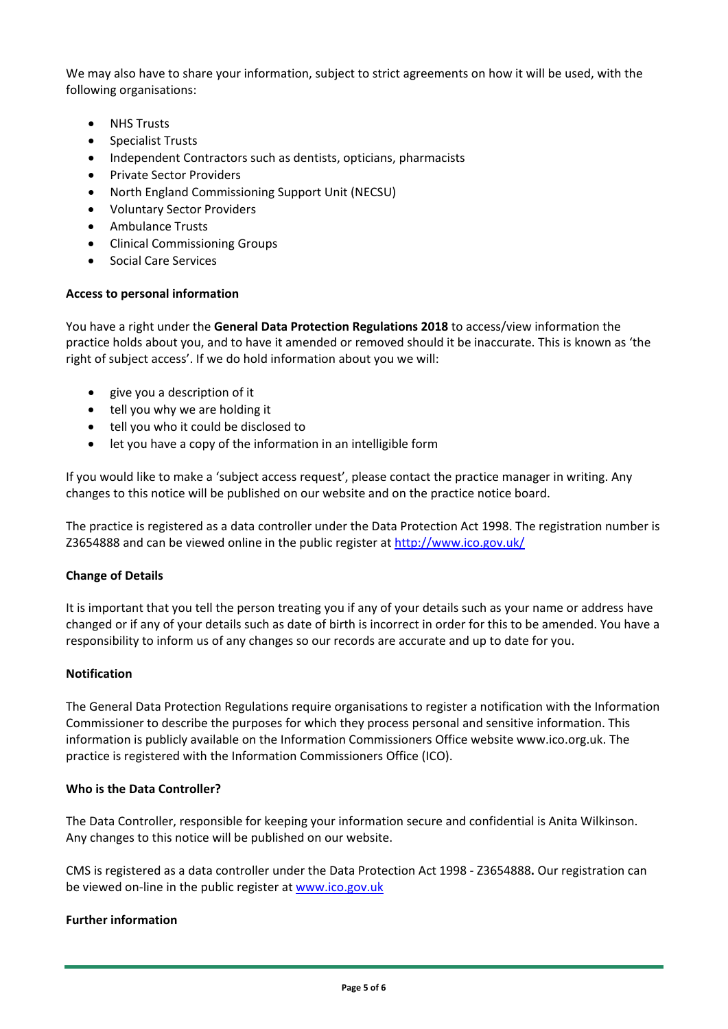We may also have to share your information, subject to strict agreements on how it will be used, with the following organisations:

- **NHS Trusts**
- Specialist Trusts
- Independent Contractors such as dentists, opticians, pharmacists
- Private Sector Providers
- North England Commissioning Support Unit (NECSU)
- Voluntary Sector Providers
- Ambulance Trusts
- Clinical Commissioning Groups
- Social Care Services

## **Access to personal information**

You have a right under the **General Data Protection Regulations 2018** to access/view information the practice holds about you, and to have it amended or removed should it be inaccurate. This is known as 'the right of subject access'. If we do hold information about you we will:

- give you a description of it
- tell you why we are holding it
- tell you who it could be disclosed to
- let you have a copy of the information in an intelligible form

If you would like to make a 'subject access request', please contact the practice manager in writing. Any changes to this notice will be published on our website and on the practice notice board.

The practice is registered as a data controller under the Data Protection Act 1998. The registration number is Z3654888 and can be viewed online in the public register at<http://www.ico.gov.uk/>

## **Change of Details**

It is important that you tell the person treating you if any of your details such as your name or address have changed or if any of your details such as date of birth is incorrect in order for this to be amended. You have a responsibility to inform us of any changes so our records are accurate and up to date for you.

### **Notification**

The General Data Protection Regulations require organisations to register a notification with the Information Commissioner to describe the purposes for which they process personal and sensitive information. This information is publicly available on the Information Commissioners Office website www.ico.org.uk. The practice is registered with the Information Commissioners Office (ICO).

### **Who is the Data Controller?**

The Data Controller, responsible for keeping your information secure and confidential is Anita Wilkinson. Any changes to this notice will be published on our website.

CMS is registered as a data controller under the Data Protection Act 1998 - Z3654888**.** Our registration can be viewed on-line in the public register at [www.ico.gov.uk](http://www.ico.gov.uk/)

# **Further information**